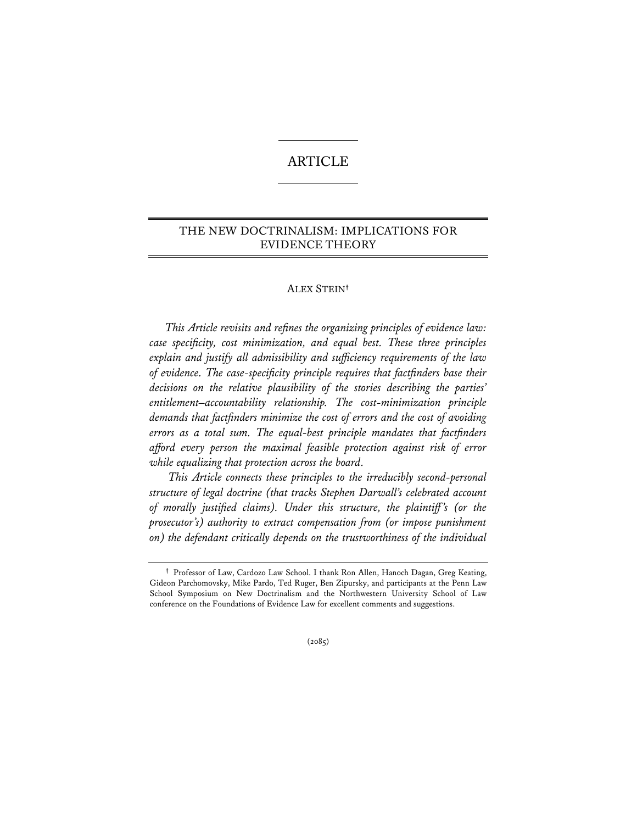# ARTICLE

## THE NEW DOCTRINALISM: IMPLICATIONS FOR EVIDENCE THEORY

## ALEX STEIN**†**

 *This Article revisits and refines the organizing principles of evidence law: case specificity, cost minimization, and equal best. These three principles explain and justify all admissibility and sufficiency requirements of the law of evidence. The case-specificity principle requires that factfinders base their decisions on the relative plausibility of the stories describing the parties' entitlement–accountability relationship. The cost-minimization principle demands that factfinders minimize the cost of errors and the cost of avoiding errors as a total sum. The equal-best principle mandates that factfinders afford every person the maximal feasible protection against risk of error while equalizing that protection across the board.* 

 *This Article connects these principles to the irreducibly second-personal structure of legal doctrine (that tracks Stephen Darwall's celebrated account of morally justified claims). Under this structure, the plaintiff 's (or the prosecutor's) authority to extract compensation from (or impose punishment on) the defendant critically depends on the trustworthiness of the individual* 

 $(2085)$ 

**<sup>†</sup>** Professor of Law, Cardozo Law School. I thank Ron Allen, Hanoch Dagan, Greg Keating, Gideon Parchomovsky, Mike Pardo, Ted Ruger, Ben Zipursky, and participants at the Penn Law School Symposium on New Doctrinalism and the Northwestern University School of Law conference on the Foundations of Evidence Law for excellent comments and suggestions.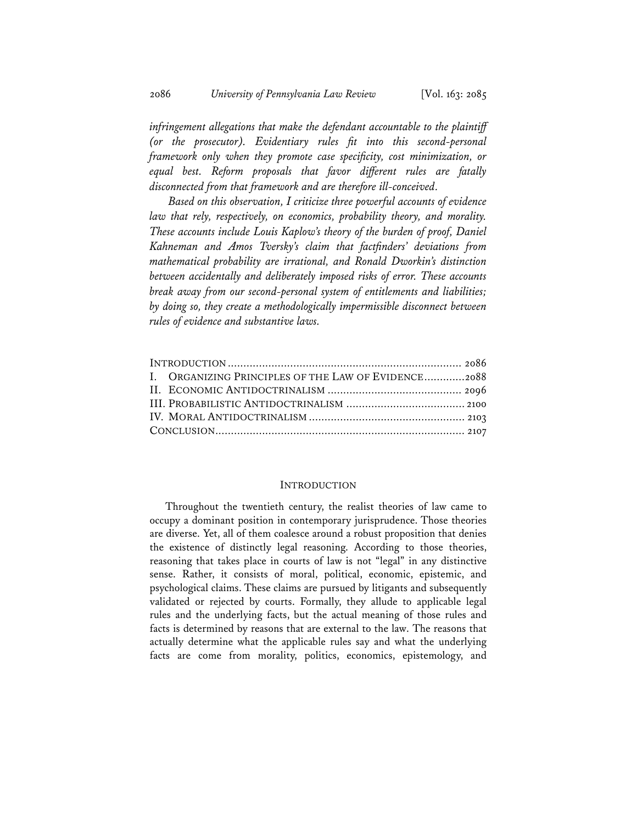2086 *University of Pennsylvania Law Review* [Vol. 163: 2085

*infringement allegations that make the defendant accountable to the plaintiff (or the prosecutor). Evidentiary rules fit into this second-personal framework only when they promote case specificity, cost minimization, or equal best. Reform proposals that favor different rules are fatally disconnected from that framework and are therefore ill-conceived.* 

 *Based on this observation, I criticize three powerful accounts of evidence law that rely, respectively, on economics, probability theory, and morality. These accounts include Louis Kaplow's theory of the burden of proof, Daniel Kahneman and Amos Tversky's claim that factfinders' deviations from mathematical probability are irrational, and Ronald Dworkin's distinction between accidentally and deliberately imposed risks of error. These accounts break away from our second-personal system of entitlements and liabilities; by doing so, they create a methodologically impermissible disconnect between rules of evidence and substantive laws.* 

| I. ORGANIZING PRINCIPLES OF THE LAW OF EVIDENCE2088 |  |
|-----------------------------------------------------|--|
|                                                     |  |
|                                                     |  |
|                                                     |  |
|                                                     |  |
|                                                     |  |

### INTRODUCTION

Throughout the twentieth century, the realist theories of law came to occupy a dominant position in contemporary jurisprudence. Those theories are diverse. Yet, all of them coalesce around a robust proposition that denies the existence of distinctly legal reasoning. According to those theories, reasoning that takes place in courts of law is not "legal" in any distinctive sense. Rather, it consists of moral, political, economic, epistemic, and psychological claims. These claims are pursued by litigants and subsequently validated or rejected by courts. Formally, they allude to applicable legal rules and the underlying facts, but the actual meaning of those rules and facts is determined by reasons that are external to the law. The reasons that actually determine what the applicable rules say and what the underlying facts are come from morality, politics, economics, epistemology, and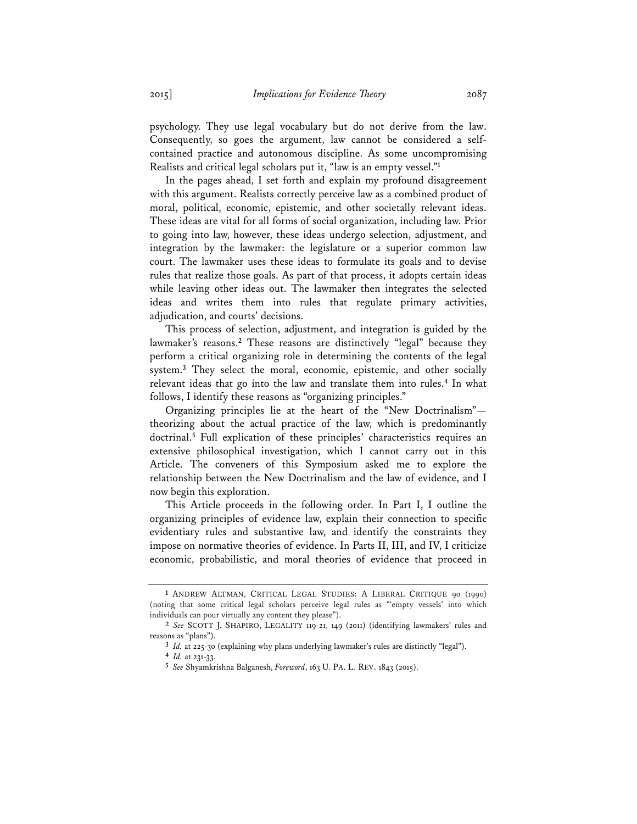psychology. They use legal vocabulary but do not derive from the law. Consequently, so goes the argument, law cannot be considered a selfcontained practice and autonomous discipline. As some uncompromising Realists and critical legal scholars put it, "law is an empty vessel."**<sup>1</sup>**

In the pages ahead, I set forth and explain my profound disagreement with this argument. Realists correctly perceive law as a combined product of moral, political, economic, epistemic, and other societally relevant ideas. These ideas are vital for all forms of social organization, including law. Prior to going into law, however, these ideas undergo selection, adjustment, and integration by the lawmaker: the legislature or a superior common law court. The lawmaker uses these ideas to formulate its goals and to devise rules that realize those goals. As part of that process, it adopts certain ideas while leaving other ideas out. The lawmaker then integrates the selected ideas and writes them into rules that regulate primary activities, adjudication, and courts' decisions.

This process of selection, adjustment, and integration is guided by the lawmaker's reasons.**<sup>2</sup>** These reasons are distinctively "legal" because they perform a critical organizing role in determining the contents of the legal system.**<sup>3</sup>** They select the moral, economic, epistemic, and other socially relevant ideas that go into the law and translate them into rules.**<sup>4</sup>** In what follows, I identify these reasons as "organizing principles."

Organizing principles lie at the heart of the "New Doctrinalism" theorizing about the actual practice of the law, which is predominantly doctrinal.**<sup>5</sup>** Full explication of these principles' characteristics requires an extensive philosophical investigation, which I cannot carry out in this Article. The conveners of this Symposium asked me to explore the relationship between the New Doctrinalism and the law of evidence, and I now begin this exploration.

This Article proceeds in the following order. In Part I, I outline the organizing principles of evidence law, explain their connection to specific evidentiary rules and substantive law, and identify the constraints they impose on normative theories of evidence. In Parts II, III, and IV, I criticize economic, probabilistic, and moral theories of evidence that proceed in

**<sup>1</sup>** ANDREW ALTMAN, CRITICAL LEGAL STUDIES: A LIBERAL CRITIQUE 90 (1990) (noting that some critical legal scholars perceive legal rules as "'empty vessels' into which individuals can pour virtually any content they please").

**<sup>2</sup>** *See* SCOTT J. SHAPIRO, LEGALITY 119-21, 149 (2011) (identifying lawmakers' rules and reasons as "plans").

**<sup>3</sup>** *Id.* at 225-30 (explaining why plans underlying lawmaker's rules are distinctly "legal"). **<sup>4</sup>** *Id.* at 231-33.

**<sup>5</sup>** *See* Shyamkrishna Balganesh, *Foreword*, 163 U. PA. L. REV. 1843 (2015).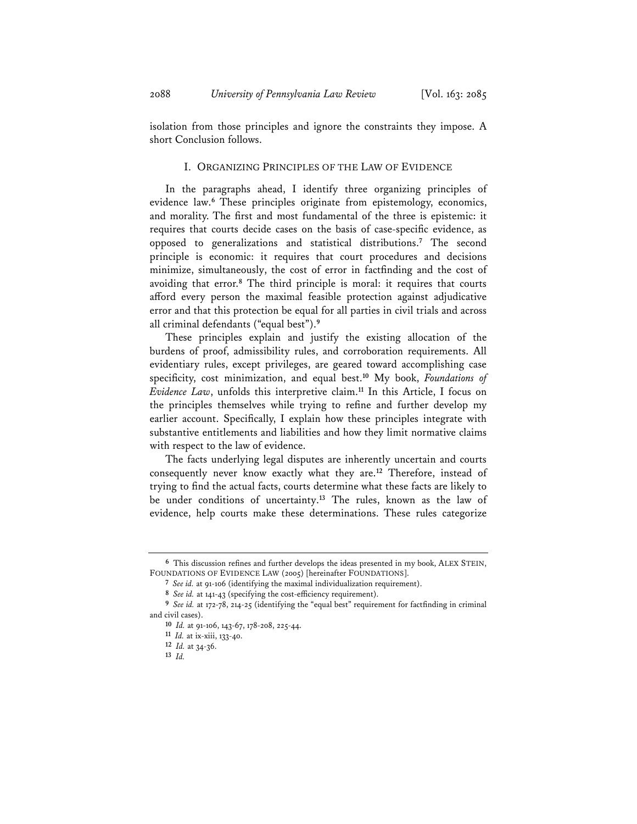isolation from those principles and ignore the constraints they impose. A short Conclusion follows.

## I. ORGANIZING PRINCIPLES OF THE LAW OF EVIDENCE

In the paragraphs ahead, I identify three organizing principles of evidence law.**<sup>6</sup>** These principles originate from epistemology, economics, and morality. The first and most fundamental of the three is epistemic: it requires that courts decide cases on the basis of case-specific evidence, as opposed to generalizations and statistical distributions.**<sup>7</sup>** The second principle is economic: it requires that court procedures and decisions minimize, simultaneously, the cost of error in factfinding and the cost of avoiding that error.**<sup>8</sup>** The third principle is moral: it requires that courts afford every person the maximal feasible protection against adjudicative error and that this protection be equal for all parties in civil trials and across all criminal defendants ("equal best").**<sup>9</sup>**

These principles explain and justify the existing allocation of the burdens of proof, admissibility rules, and corroboration requirements. All evidentiary rules, except privileges, are geared toward accomplishing case specificity, cost minimization, and equal best.**<sup>10</sup>** My book, *Foundations of Evidence Law*, unfolds this interpretive claim.**<sup>11</sup>** In this Article, I focus on the principles themselves while trying to refine and further develop my earlier account. Specifically, I explain how these principles integrate with substantive entitlements and liabilities and how they limit normative claims with respect to the law of evidence.

The facts underlying legal disputes are inherently uncertain and courts consequently never know exactly what they are.**<sup>12</sup>** Therefore, instead of trying to find the actual facts, courts determine what these facts are likely to be under conditions of uncertainty.**<sup>13</sup>** The rules, known as the law of evidence, help courts make these determinations. These rules categorize

**<sup>6</sup>** This discussion refines and further develops the ideas presented in my book, ALEX STEIN, FOUNDATIONS OF EVIDENCE LAW (2005) [hereinafter FOUNDATIONS].

**<sup>7</sup>** *See id.* at 91-106 (identifying the maximal individualization requirement).

**<sup>8</sup>** *See id.* at 141-43 (specifying the cost-efficiency requirement).

**<sup>9</sup>** *See id.* at 172-78, 214-25 (identifying the "equal best" requirement for factfinding in criminal and civil cases).

**<sup>10</sup>** *Id.* at 91-106, 143-67, 178-208, 225-44. **<sup>11</sup>** *Id.* at ix-xiii, 133-40.

**<sup>12</sup>** *Id.* at 34-36.

**<sup>13</sup>** *Id.*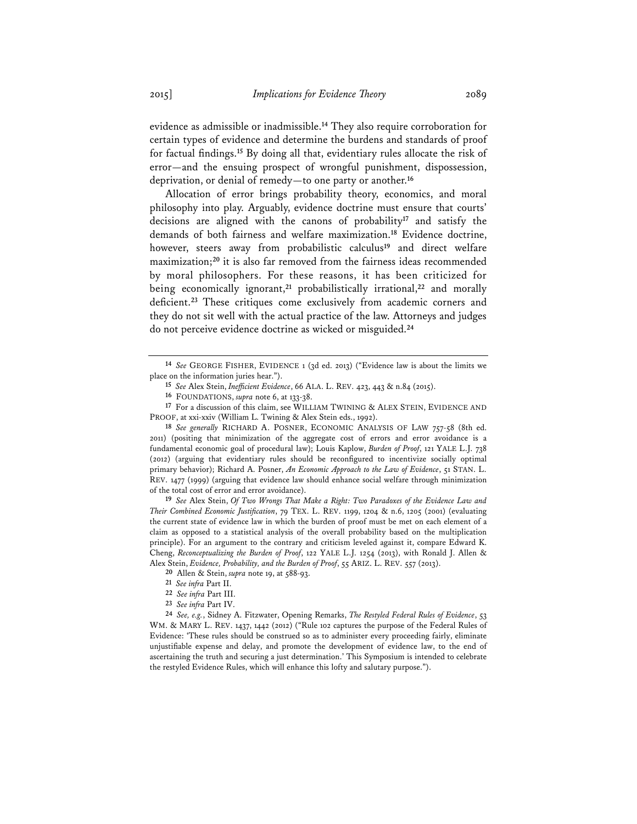evidence as admissible or inadmissible.**<sup>14</sup>** They also require corroboration for certain types of evidence and determine the burdens and standards of proof for factual findings.**<sup>15</sup>** By doing all that, evidentiary rules allocate the risk of error—and the ensuing prospect of wrongful punishment, dispossession, deprivation, or denial of remedy—to one party or another.**<sup>16</sup>**

Allocation of error brings probability theory, economics, and moral philosophy into play. Arguably, evidence doctrine must ensure that courts' decisions are aligned with the canons of probability**<sup>17</sup>** and satisfy the demands of both fairness and welfare maximization.**<sup>18</sup>** Evidence doctrine, however, steers away from probabilistic calculus**<sup>19</sup>** and direct welfare maximization;**<sup>20</sup>** it is also far removed from the fairness ideas recommended by moral philosophers. For these reasons, it has been criticized for being economically ignorant,**<sup>21</sup>** probabilistically irrational,**<sup>22</sup>** and morally deficient.**<sup>23</sup>** These critiques come exclusively from academic corners and they do not sit well with the actual practice of the law. Attorneys and judges do not perceive evidence doctrine as wicked or misguided.**<sup>24</sup>**

**<sup>19</sup>** *See* Alex Stein, *Of Two Wrongs That Make a Right: Two Paradoxes of the Evidence Law and Their Combined Economic Justification*, 79 TEX. L. REV. 1199, 1204 & n.6, 1205 (2001) (evaluating the current state of evidence law in which the burden of proof must be met on each element of a claim as opposed to a statistical analysis of the overall probability based on the multiplication principle). For an argument to the contrary and criticism leveled against it, compare Edward K. Cheng, *Reconceptualizing the Burden of Proof*, 122 YALE L.J. 1254 (2013), with Ronald J. Allen & Alex Stein, *Evidence, Probability, and the Burden of Proof*, 55 ARIZ. L. REV. 557 (2013).

**<sup>20</sup>** Allen & Stein, *supra* note 19, at 588-93.

**<sup>24</sup>** *See, e.g.*, Sidney A. Fitzwater, Opening Remarks, *The Restyled Federal Rules of Evidence*, 53 WM. & MARY L. REV. 1437, 1442 (2012) ("Rule 102 captures the purpose of the Federal Rules of Evidence: 'These rules should be construed so as to administer every proceeding fairly, eliminate unjustifiable expense and delay, and promote the development of evidence law, to the end of ascertaining the truth and securing a just determination.' This Symposium is intended to celebrate the restyled Evidence Rules, which will enhance this lofty and salutary purpose.").

**<sup>14</sup>** *See* GEORGE FISHER, EVIDENCE 1 (3d ed. 2013) ("Evidence law is about the limits we place on the information juries hear.").

**<sup>15</sup>** *See* Alex Stein, *Inefficient Evidence*, 66 ALA. L. REV. 423, 443 & n.84 (2015).

**<sup>16</sup>** FOUNDATIONS, *supra* note 6, at 133-38.

**<sup>17</sup>** For a discussion of this claim, see WILLIAM TWINING & ALEX STEIN, EVIDENCE AND PROOF, at xxi-xxiv (William L. Twining & Alex Stein eds., 1992).

**<sup>18</sup>** *See generally* RICHARD A. POSNER, ECONOMIC ANALYSIS OF LAW 757-58 (8th ed. 2011) (positing that minimization of the aggregate cost of errors and error avoidance is a fundamental economic goal of procedural law); Louis Kaplow, *Burden of Proof*, 121 YALE L.J. 738 (2012) (arguing that evidentiary rules should be reconfigured to incentivize socially optimal primary behavior); Richard A. Posner, *An Economic Approach to the Law of Evidence*, 51 STAN. L. REV. 1477 (1999) (arguing that evidence law should enhance social welfare through minimization of the total cost of error and error avoidance).

**<sup>21</sup>** *See infra* Part II.

**<sup>22</sup>** *See infra* Part III.

**<sup>23</sup>** *See infra* Part IV.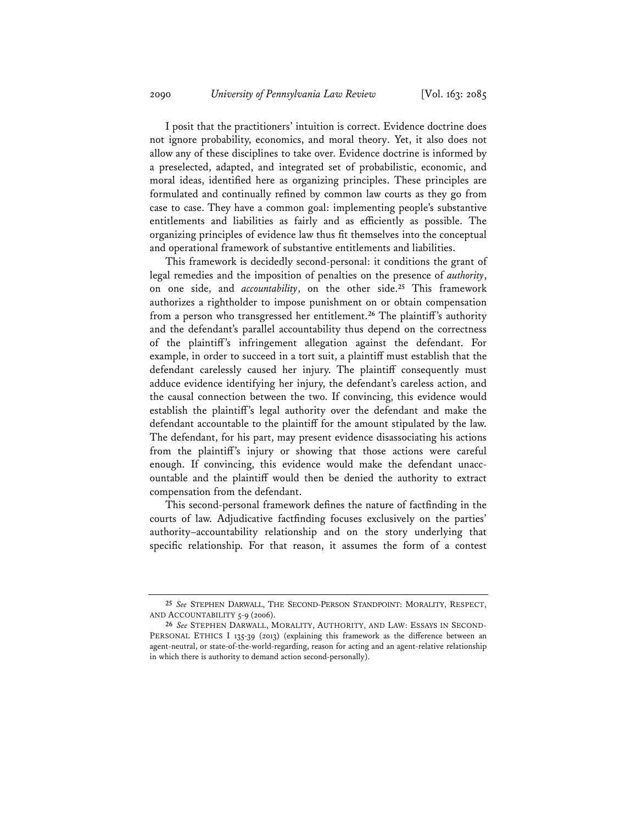I posit that the practitioners' intuition is correct. Evidence doctrine does not ignore probability, economics, and moral theory. Yet, it also does not allow any of these disciplines to take over. Evidence doctrine is informed by a preselected, adapted, and integrated set of probabilistic, economic, and moral ideas, identified here as organizing principles. These principles are formulated and continually refined by common law courts as they go from case to case. They have a common goal: implementing people's substantive entitlements and liabilities as fairly and as efficiently as possible. The organizing principles of evidence law thus fit themselves into the conceptual and operational framework of substantive entitlements and liabilities.

This framework is decidedly second-personal: it conditions the grant of legal remedies and the imposition of penalties on the presence of *authority*, on one side, and *accountability*, on the other side.**<sup>25</sup>** This framework authorizes a rightholder to impose punishment on or obtain compensation from a person who transgressed her entitlement.**<sup>26</sup>** The plaintiff's authority and the defendant's parallel accountability thus depend on the correctness of the plaintiff's infringement allegation against the defendant. For example, in order to succeed in a tort suit, a plaintiff must establish that the defendant carelessly caused her injury. The plaintiff consequently must adduce evidence identifying her injury, the defendant's careless action, and the causal connection between the two. If convincing, this evidence would establish the plaintiff's legal authority over the defendant and make the defendant accountable to the plaintiff for the amount stipulated by the law. The defendant, for his part, may present evidence disassociating his actions from the plaintiff's injury or showing that those actions were careful enough. If convincing, this evidence would make the defendant unaccountable and the plaintiff would then be denied the authority to extract compensation from the defendant.

This second-personal framework defines the nature of factfinding in the courts of law. Adjudicative factfinding focuses exclusively on the parties' authority–accountability relationship and on the story underlying that specific relationship. For that reason, it assumes the form of a contest

**<sup>25</sup>** *See* STEPHEN DARWALL, THE SECOND-PERSON STANDPOINT: MORALITY, RESPECT, AND ACCOUNTABILITY 5-9 (2006).

**<sup>26</sup>** *See* STEPHEN DARWALL, MORALITY, AUTHORITY, AND LAW: ESSAYS IN SECOND-PERSONAL ETHICS I 135-39 (2013) (explaining this framework as the difference between an agent-neutral, or state-of-the-world-regarding, reason for acting and an agent-relative relationship in which there is authority to demand action second-personally).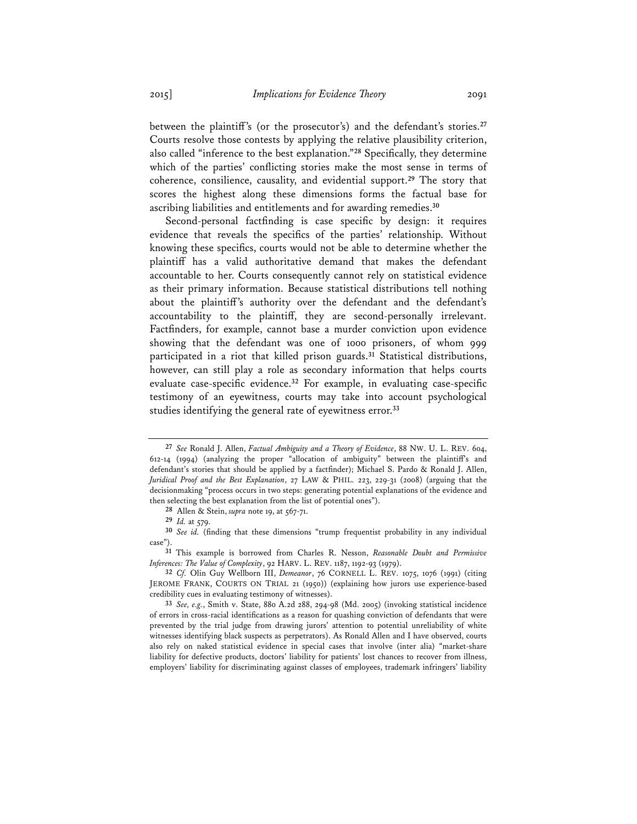between the plaintiff's (or the prosecutor's) and the defendant's stories.**<sup>27</sup>** Courts resolve those contests by applying the relative plausibility criterion, also called "inference to the best explanation."**<sup>28</sup>** Specifically, they determine which of the parties' conflicting stories make the most sense in terms of coherence, consilience, causality, and evidential support.**<sup>29</sup>** The story that scores the highest along these dimensions forms the factual base for ascribing liabilities and entitlements and for awarding remedies.**<sup>30</sup>**

Second-personal factfinding is case specific by design: it requires evidence that reveals the specifics of the parties' relationship. Without knowing these specifics, courts would not be able to determine whether the plaintiff has a valid authoritative demand that makes the defendant accountable to her. Courts consequently cannot rely on statistical evidence as their primary information. Because statistical distributions tell nothing about the plaintiff's authority over the defendant and the defendant's accountability to the plaintiff, they are second-personally irrelevant. Factfinders, for example, cannot base a murder conviction upon evidence showing that the defendant was one of 1000 prisoners, of whom 999 participated in a riot that killed prison guards.**<sup>31</sup>** Statistical distributions, however, can still play a role as secondary information that helps courts evaluate case-specific evidence.**<sup>32</sup>** For example, in evaluating case-specific testimony of an eyewitness, courts may take into account psychological studies identifying the general rate of eyewitness error.**<sup>33</sup>**

**<sup>27</sup>** *See* Ronald J. Allen, *Factual Ambiguity and a Theory of Evidence*, 88 NW. U. L. REV. 604, 612-14 (1994) (analyzing the proper "allocation of ambiguity" between the plaintiff's and defendant's stories that should be applied by a factfinder); Michael S. Pardo & Ronald J. Allen, *Juridical Proof and the Best Explanation*, 27 LAW & PHIL. 223, 229-31 (2008) (arguing that the decisionmaking "process occurs in two steps: generating potential explanations of the evidence and then selecting the best explanation from the list of potential ones").

**<sup>28</sup>** Allen & Stein, *supra* note 19, at 567-71.

**<sup>29</sup>** *Id.* at 579.

**<sup>30</sup>** *See id.* (finding that these dimensions "trump frequentist probability in any individual case").

**<sup>31</sup>** This example is borrowed from Charles R. Nesson, *Reasonable Doubt and Permissive Inferences: The Value of Complexity*, 92 HARV. L. REV. 1187, 1192-93 (1979).

**<sup>32</sup>** *Cf.* Olin Guy Wellborn III, *Demeanor*, 76 CORNELL L. REV. 1075, 1076 (1991) (citing JEROME FRANK, COURTS ON TRIAL 21 (1950)) (explaining how jurors use experience-based credibility cues in evaluating testimony of witnesses).

**<sup>33</sup>** *See, e.g.*, Smith v. State, 880 A.2d 288, 294-98 (Md. 2005) (invoking statistical incidence of errors in cross-racial identifications as a reason for quashing conviction of defendants that were prevented by the trial judge from drawing jurors' attention to potential unreliability of white witnesses identifying black suspects as perpetrators). As Ronald Allen and I have observed, courts also rely on naked statistical evidence in special cases that involve (inter alia) "market-share liability for defective products, doctors' liability for patients' lost chances to recover from illness, employers' liability for discriminating against classes of employees, trademark infringers' liability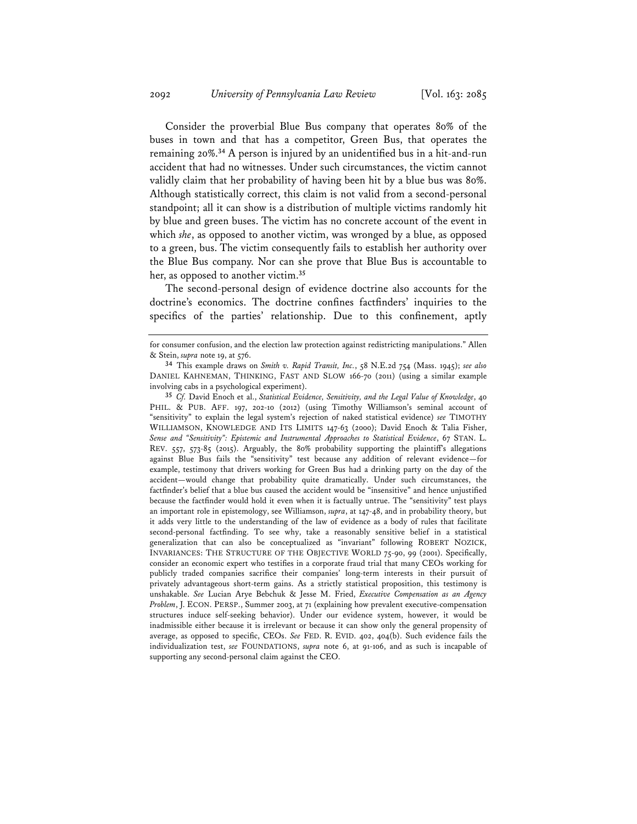Consider the proverbial Blue Bus company that operates 80% of the buses in town and that has a competitor, Green Bus, that operates the remaining 20%.**<sup>34</sup>** A person is injured by an unidentified bus in a hit-and-run accident that had no witnesses. Under such circumstances, the victim cannot validly claim that her probability of having been hit by a blue bus was 80%. Although statistically correct, this claim is not valid from a second-personal standpoint; all it can show is a distribution of multiple victims randomly hit by blue and green buses. The victim has no concrete account of the event in which *she*, as opposed to another victim, was wronged by a blue, as opposed to a green, bus. The victim consequently fails to establish her authority over the Blue Bus company. Nor can she prove that Blue Bus is accountable to her, as opposed to another victim.**<sup>35</sup>**

The second-personal design of evidence doctrine also accounts for the doctrine's economics. The doctrine confines factfinders' inquiries to the specifics of the parties' relationship. Due to this confinement, aptly

**<sup>35</sup>** *Cf.* David Enoch et al., *Statistical Evidence, Sensitivity, and the Legal Value of Knowledge*, 40 PHIL. & PUB. AFF. 197, 202-10 (2012) (using Timothy Williamson's seminal account of "sensitivity" to explain the legal system's rejection of naked statistical evidence) *see* TIMOTHY WILLIAMSON, KNOWLEDGE AND ITS LIMITS 147-63 (2000); David Enoch & Talia Fisher, *Sense and "Sensitivity": Epistemic and Instrumental Approaches to Statistical Evidence*, 67 STAN. L. REV. 557, 573-85 (2015). Arguably, the 80% probability supporting the plaintiff's allegations against Blue Bus fails the "sensitivity" test because any addition of relevant evidence—for example, testimony that drivers working for Green Bus had a drinking party on the day of the accident—would change that probability quite dramatically. Under such circumstances, the factfinder's belief that a blue bus caused the accident would be "insensitive" and hence unjustified because the factfinder would hold it even when it is factually untrue. The "sensitivity" test plays an important role in epistemology, see Williamson, *supra*, at 147-48, and in probability theory, but it adds very little to the understanding of the law of evidence as a body of rules that facilitate second-personal factfinding. To see why, take a reasonably sensitive belief in a statistical generalization that can also be conceptualized as "invariant" following ROBERT NOZICK, INVARIANCES: THE STRUCTURE OF THE OBJECTIVE WORLD 75-90, 99 (2001). Specifically, consider an economic expert who testifies in a corporate fraud trial that many CEOs working for publicly traded companies sacrifice their companies' long-term interests in their pursuit of privately advantageous short-term gains. As a strictly statistical proposition, this testimony is unshakable. *See* Lucian Arye Bebchuk & Jesse M. Fried, *Executive Compensation as an Agency Problem*, J. ECON. PERSP., Summer 2003, at 71 (explaining how prevalent executive-compensation structures induce self-seeking behavior). Under our evidence system, however, it would be inadmissible either because it is irrelevant or because it can show only the general propensity of average, as opposed to specific, CEOs. *See* FED. R. EVID. 402, 404(b). Such evidence fails the individualization test, *see* FOUNDATIONS, *supra* note 6, at 91-106, and as such is incapable of supporting any second-personal claim against the CEO.

for consumer confusion, and the election law protection against redistricting manipulations." Allen & Stein, *supra* note 19, at 576.

**<sup>34</sup>** This example draws on *Smith v. Rapid Transit, Inc.*, 58 N.E.2d 754 (Mass. 1945); *see also* DANIEL KAHNEMAN, THINKING, FAST AND SLOW 166-70 (2011) (using a similar example involving cabs in a psychological experiment).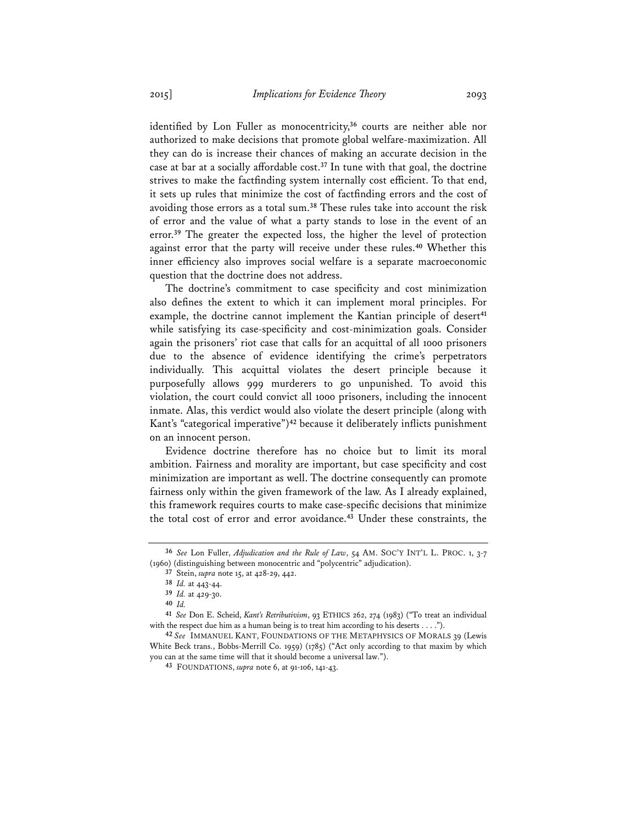identified by Lon Fuller as monocentricity,**<sup>36</sup>** courts are neither able nor authorized to make decisions that promote global welfare-maximization. All they can do is increase their chances of making an accurate decision in the case at bar at a socially affordable cost.**<sup>37</sup>** In tune with that goal, the doctrine strives to make the factfinding system internally cost efficient. To that end, it sets up rules that minimize the cost of factfinding errors and the cost of avoiding those errors as a total sum.**<sup>38</sup>** These rules take into account the risk of error and the value of what a party stands to lose in the event of an error.**<sup>39</sup>** The greater the expected loss, the higher the level of protection against error that the party will receive under these rules.**<sup>40</sup>** Whether this inner efficiency also improves social welfare is a separate macroeconomic question that the doctrine does not address.

The doctrine's commitment to case specificity and cost minimization also defines the extent to which it can implement moral principles. For example, the doctrine cannot implement the Kantian principle of desert<sup>41</sup> while satisfying its case-specificity and cost-minimization goals. Consider again the prisoners' riot case that calls for an acquittal of all 1000 prisoners due to the absence of evidence identifying the crime's perpetrators individually. This acquittal violates the desert principle because it purposefully allows 999 murderers to go unpunished. To avoid this violation, the court could convict all 1000 prisoners, including the innocent inmate. Alas, this verdict would also violate the desert principle (along with Kant's "categorical imperative")**<sup>42</sup>** because it deliberately inflicts punishment on an innocent person.

Evidence doctrine therefore has no choice but to limit its moral ambition. Fairness and morality are important, but case specificity and cost minimization are important as well. The doctrine consequently can promote fairness only within the given framework of the law. As I already explained, this framework requires courts to make case-specific decisions that minimize the total cost of error and error avoidance.**<sup>43</sup>** Under these constraints, the

**<sup>36</sup>** *See* Lon Fuller, *Adjudication and the Rule of Law*, 54 AM. SOC'Y INT'L L. PROC. 1, 3-7 (1960) (distinguishing between monocentric and "polycentric" adjudication).

**<sup>37</sup>** Stein, *supra* note 15, at 428-29, 442.

**<sup>38</sup>** *Id.* at 443-44.

**<sup>39</sup>** *Id.* at 429-30.

**<sup>40</sup>** *Id.* **<sup>41</sup>** *See* Don E. Scheid, *Kant's Retributivism*, 93 ETHICS 262, 274 (1983) ("To treat an individual with the respect due him as a human being is to treat him according to his deserts . . . .").

**<sup>42</sup>** *See* IMMANUEL KANT, FOUNDATIONS OF THE METAPHYSICS OF MORALS 39 (Lewis White Beck trans., Bobbs-Merrill Co. 1959) (1785) ("Act only according to that maxim by which you can at the same time will that it should become a universal law.").

**<sup>43</sup>** FOUNDATIONS, *supra* note 6, at 91-106, 141-43.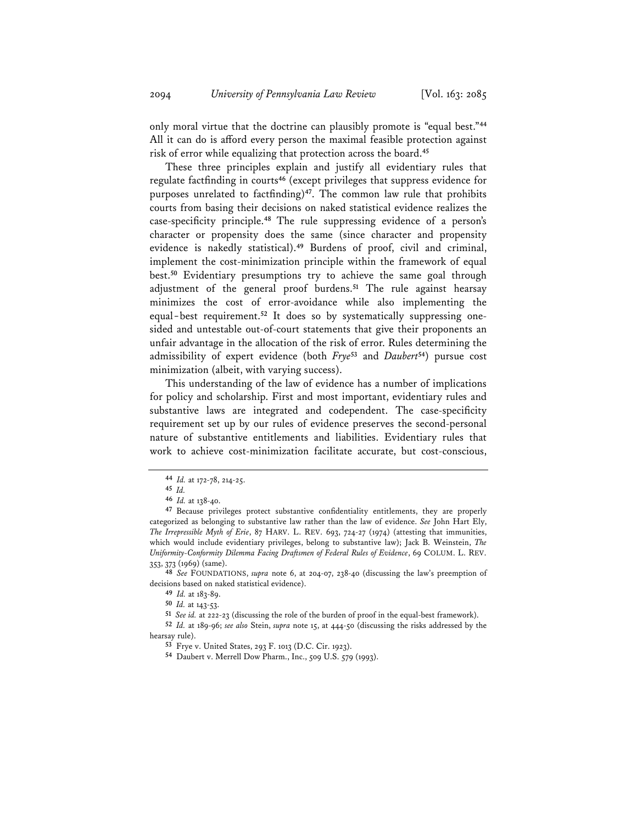only moral virtue that the doctrine can plausibly promote is "equal best."**<sup>44</sup>** All it can do is afford every person the maximal feasible protection against risk of error while equalizing that protection across the board.**<sup>45</sup>**

These three principles explain and justify all evidentiary rules that regulate factfinding in courts**<sup>46</sup>** (except privileges that suppress evidence for purposes unrelated to factfinding)**<sup>47</sup>**. The common law rule that prohibits courts from basing their decisions on naked statistical evidence realizes the case-specificity principle.**<sup>48</sup>** The rule suppressing evidence of a person's character or propensity does the same (since character and propensity evidence is nakedly statistical).**<sup>49</sup>** Burdens of proof, civil and criminal, implement the cost-minimization principle within the framework of equal best.**<sup>50</sup>** Evidentiary presumptions try to achieve the same goal through adjustment of the general proof burdens.**<sup>51</sup>** The rule against hearsay minimizes the cost of error-avoidance while also implementing the equal-best requirement.**<sup>52</sup>** It does so by systematically suppressing onesided and untestable out-of-court statements that give their proponents an unfair advantage in the allocation of the risk of error. Rules determining the admissibility of expert evidence (both *Frye***<sup>53</sup>** and *Daubert***<sup>54</sup>**) pursue cost minimization (albeit, with varying success).

This understanding of the law of evidence has a number of implications for policy and scholarship. First and most important, evidentiary rules and substantive laws are integrated and codependent. The case-specificity requirement set up by our rules of evidence preserves the second-personal nature of substantive entitlements and liabilities. Evidentiary rules that work to achieve cost-minimization facilitate accurate, but cost-conscious,

**<sup>50</sup>** *Id.* at 143-53.

**<sup>51</sup>** *See id.* at 222-23 (discussing the role of the burden of proof in the equal-best framework).

**<sup>52</sup>** *Id.* at 189-96; *see also* Stein, *supra* note 15, at 444-50 (discussing the risks addressed by the hearsay rule).

**<sup>44</sup>** *Id.* at 172-78, 214-25.

**<sup>45</sup>** *Id.*

**<sup>46</sup>** *Id.* at 138-40.

**<sup>47</sup>** Because privileges protect substantive confidentiality entitlements, they are properly categorized as belonging to substantive law rather than the law of evidence. *See* John Hart Ely, *The Irrepressible Myth of Erie*, 87 HARV. L. REV. 693, 724-27 (1974) (attesting that immunities, which would include evidentiary privileges, belong to substantive law); Jack B. Weinstein, *The Uniformity-Conformity Dilemma Facing Draftsmen of Federal Rules of Evidence*, 69 COLUM. L. REV. 353, 373 (1969) (same).

**<sup>48</sup>** *See* FOUNDATIONS, *supra* note 6, at 204-07, 238-40 (discussing the law's preemption of decisions based on naked statistical evidence).

**<sup>49</sup>** *Id.* at 183-89.

**<sup>53</sup>** Frye v. United States, 293 F. 1013 (D.C. Cir. 1923).

**<sup>54</sup>** Daubert v. Merrell Dow Pharm., Inc., 509 U.S. 579 (1993).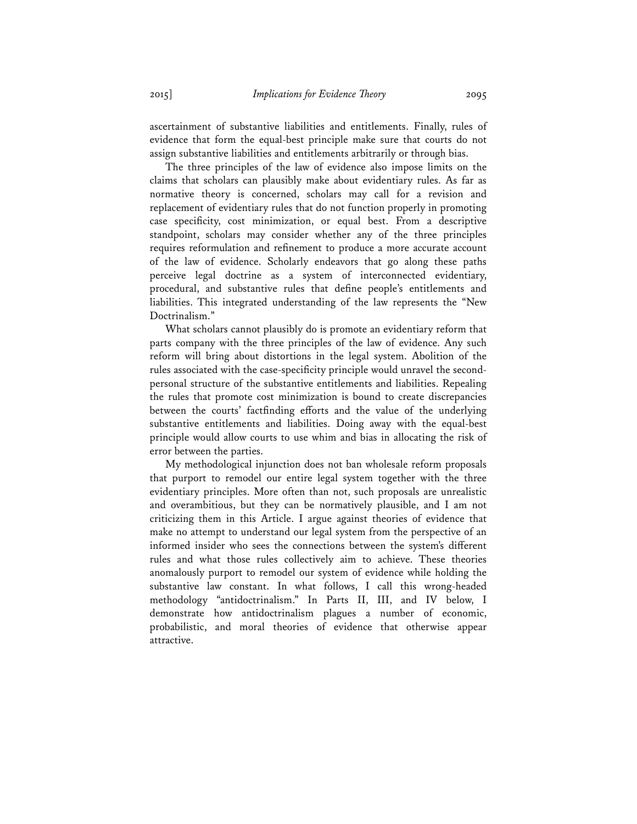ascertainment of substantive liabilities and entitlements. Finally, rules of evidence that form the equal-best principle make sure that courts do not assign substantive liabilities and entitlements arbitrarily or through bias.

The three principles of the law of evidence also impose limits on the claims that scholars can plausibly make about evidentiary rules. As far as normative theory is concerned, scholars may call for a revision and replacement of evidentiary rules that do not function properly in promoting case specificity, cost minimization, or equal best. From a descriptive standpoint, scholars may consider whether any of the three principles requires reformulation and refinement to produce a more accurate account of the law of evidence. Scholarly endeavors that go along these paths perceive legal doctrine as a system of interconnected evidentiary, procedural, and substantive rules that define people's entitlements and liabilities. This integrated understanding of the law represents the "New Doctrinalism."

What scholars cannot plausibly do is promote an evidentiary reform that parts company with the three principles of the law of evidence. Any such reform will bring about distortions in the legal system. Abolition of the rules associated with the case-specificity principle would unravel the secondpersonal structure of the substantive entitlements and liabilities. Repealing the rules that promote cost minimization is bound to create discrepancies between the courts' factfinding efforts and the value of the underlying substantive entitlements and liabilities. Doing away with the equal-best principle would allow courts to use whim and bias in allocating the risk of error between the parties.

My methodological injunction does not ban wholesale reform proposals that purport to remodel our entire legal system together with the three evidentiary principles. More often than not, such proposals are unrealistic and overambitious, but they can be normatively plausible, and I am not criticizing them in this Article. I argue against theories of evidence that make no attempt to understand our legal system from the perspective of an informed insider who sees the connections between the system's different rules and what those rules collectively aim to achieve. These theories anomalously purport to remodel our system of evidence while holding the substantive law constant. In what follows, I call this wrong-headed methodology "antidoctrinalism." In Parts II, III, and IV below, I demonstrate how antidoctrinalism plagues a number of economic, probabilistic, and moral theories of evidence that otherwise appear attractive.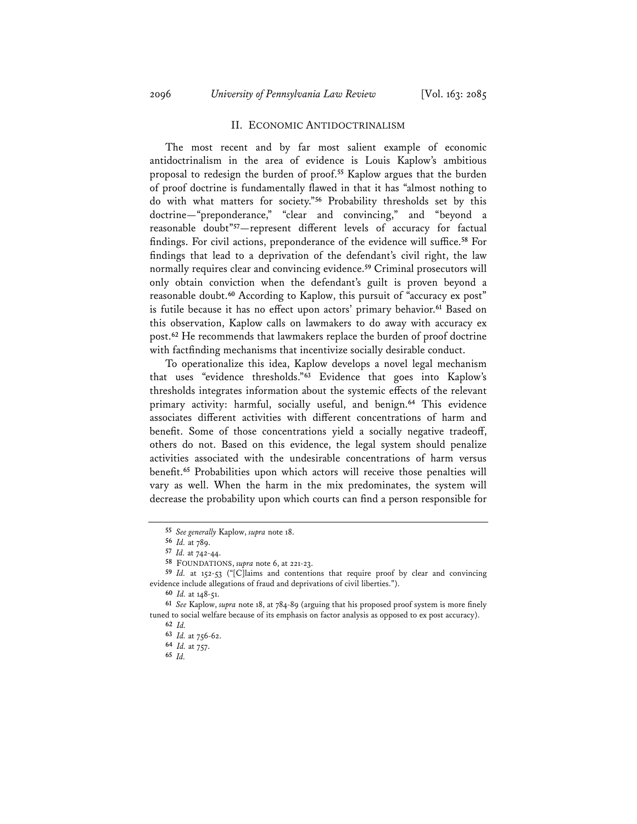## II. ECONOMIC ANTIDOCTRINALISM

The most recent and by far most salient example of economic antidoctrinalism in the area of evidence is Louis Kaplow's ambitious proposal to redesign the burden of proof.**<sup>55</sup>** Kaplow argues that the burden of proof doctrine is fundamentally flawed in that it has "almost nothing to do with what matters for society."**<sup>56</sup>** Probability thresholds set by this doctrine—"preponderance," "clear and convincing," and "beyond a reasonable doubt"**<sup>57</sup>**—represent different levels of accuracy for factual findings. For civil actions, preponderance of the evidence will suffice.**<sup>58</sup>** For findings that lead to a deprivation of the defendant's civil right, the law normally requires clear and convincing evidence.**<sup>59</sup>** Criminal prosecutors will only obtain conviction when the defendant's guilt is proven beyond a reasonable doubt.**<sup>60</sup>** According to Kaplow, this pursuit of "accuracy ex post" is futile because it has no effect upon actors' primary behavior.**<sup>61</sup>** Based on this observation, Kaplow calls on lawmakers to do away with accuracy ex post.**<sup>62</sup>** He recommends that lawmakers replace the burden of proof doctrine with factfinding mechanisms that incentivize socially desirable conduct.

To operationalize this idea, Kaplow develops a novel legal mechanism that uses "evidence thresholds."**<sup>63</sup>** Evidence that goes into Kaplow's thresholds integrates information about the systemic effects of the relevant primary activity: harmful, socially useful, and benign.**<sup>64</sup>** This evidence associates different activities with different concentrations of harm and benefit. Some of those concentrations yield a socially negative tradeoff, others do not. Based on this evidence, the legal system should penalize activities associated with the undesirable concentrations of harm versus benefit.**<sup>65</sup>** Probabilities upon which actors will receive those penalties will vary as well. When the harm in the mix predominates, the system will decrease the probability upon which courts can find a person responsible for

**<sup>55</sup>** *See generally* Kaplow, *supra* note 18.

**<sup>56</sup>** *Id.* at 789.

**<sup>57</sup>** *Id.* at 742-44.

**<sup>58</sup>** FOUNDATIONS, *supra* note 6, at 221-23.

**<sup>59</sup>** *Id.* at 152-53 ("[C]laims and contentions that require proof by clear and convincing evidence include allegations of fraud and deprivations of civil liberties.").

**<sup>60</sup>** *Id.* at 148-51.

**<sup>61</sup>** *See* Kaplow, *supra* note 18, at 784-89 (arguing that his proposed proof system is more finely tuned to social welfare because of its emphasis on factor analysis as opposed to ex post accuracy). **<sup>62</sup>** *Id.*

**<sup>63</sup>** *Id.* at 756-62.

**<sup>64</sup>** *Id.* at 757.

**<sup>65</sup>** *Id.*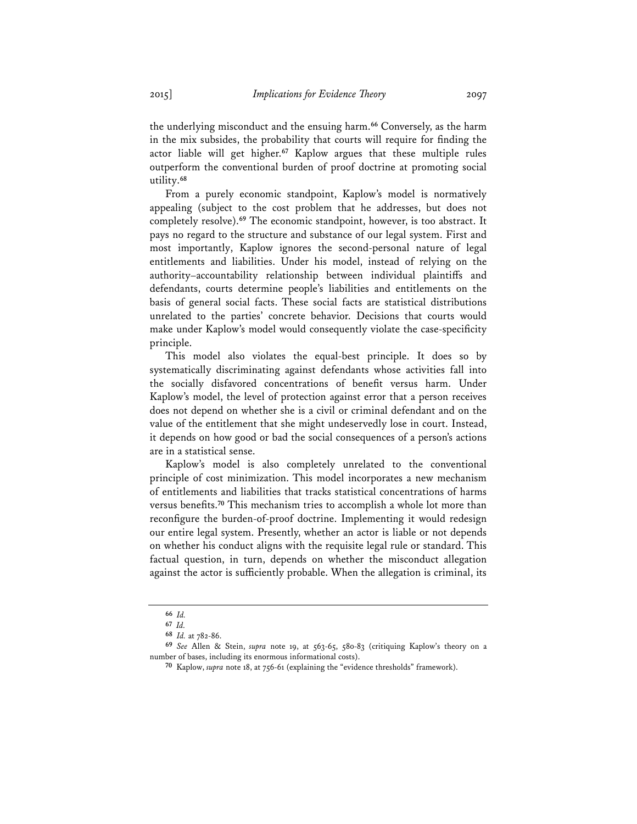the underlying misconduct and the ensuing harm.**<sup>66</sup>** Conversely, as the harm in the mix subsides, the probability that courts will require for finding the actor liable will get higher.**<sup>67</sup>** Kaplow argues that these multiple rules outperform the conventional burden of proof doctrine at promoting social utility.**<sup>68</sup>**

From a purely economic standpoint, Kaplow's model is normatively appealing (subject to the cost problem that he addresses, but does not completely resolve).**<sup>69</sup>** The economic standpoint, however, is too abstract. It pays no regard to the structure and substance of our legal system. First and most importantly, Kaplow ignores the second-personal nature of legal entitlements and liabilities. Under his model, instead of relying on the authority–accountability relationship between individual plaintiffs and defendants, courts determine people's liabilities and entitlements on the basis of general social facts. These social facts are statistical distributions unrelated to the parties' concrete behavior. Decisions that courts would make under Kaplow's model would consequently violate the case-specificity principle.

This model also violates the equal-best principle. It does so by systematically discriminating against defendants whose activities fall into the socially disfavored concentrations of benefit versus harm. Under Kaplow's model, the level of protection against error that a person receives does not depend on whether she is a civil or criminal defendant and on the value of the entitlement that she might undeservedly lose in court. Instead, it depends on how good or bad the social consequences of a person's actions are in a statistical sense.

Kaplow's model is also completely unrelated to the conventional principle of cost minimization. This model incorporates a new mechanism of entitlements and liabilities that tracks statistical concentrations of harms versus benefits.**<sup>70</sup>** This mechanism tries to accomplish a whole lot more than reconfigure the burden-of-proof doctrine. Implementing it would redesign our entire legal system. Presently, whether an actor is liable or not depends on whether his conduct aligns with the requisite legal rule or standard. This factual question, in turn, depends on whether the misconduct allegation against the actor is sufficiently probable. When the allegation is criminal, its

**<sup>66</sup>** *Id.*

**<sup>67</sup>** *Id.*

**<sup>68</sup>** *Id.* at 782-86.

**<sup>69</sup>** *See* Allen & Stein, *supra* note 19, at 563-65, 580-83 (critiquing Kaplow's theory on a number of bases, including its enormous informational costs).

**<sup>70</sup>** Kaplow, *supra* note 18, at 756-61 (explaining the "evidence thresholds" framework).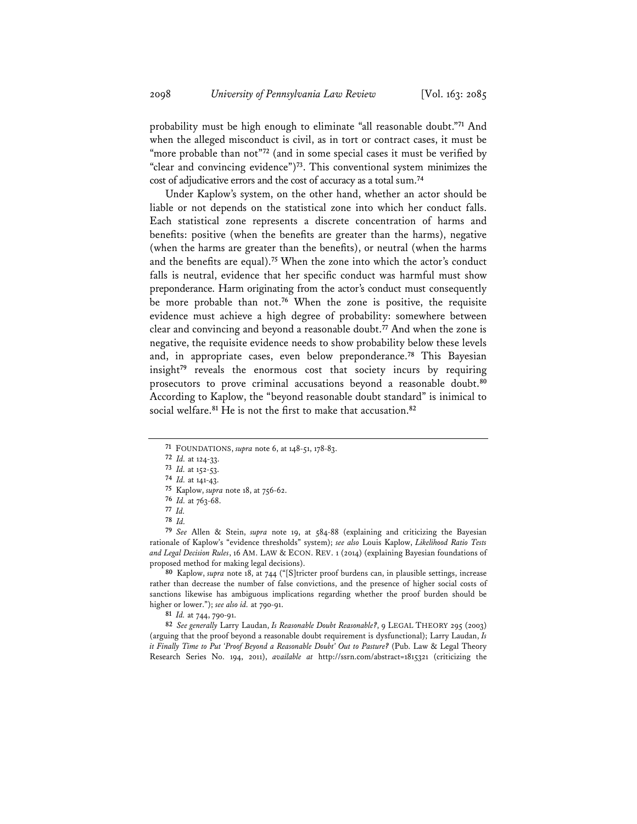probability must be high enough to eliminate "all reasonable doubt."**<sup>71</sup>** And when the alleged misconduct is civil, as in tort or contract cases, it must be "more probable than not"<sup>72</sup> (and in some special cases it must be verified by "clear and convincing evidence")**<sup>73</sup>**. This conventional system minimizes the cost of adjudicative errors and the cost of accuracy as a total sum.**<sup>74</sup>**

Under Kaplow's system, on the other hand, whether an actor should be liable or not depends on the statistical zone into which her conduct falls. Each statistical zone represents a discrete concentration of harms and benefits: positive (when the benefits are greater than the harms), negative (when the harms are greater than the benefits), or neutral (when the harms and the benefits are equal).**<sup>75</sup>** When the zone into which the actor's conduct falls is neutral, evidence that her specific conduct was harmful must show preponderance. Harm originating from the actor's conduct must consequently be more probable than not.**<sup>76</sup>** When the zone is positive, the requisite evidence must achieve a high degree of probability: somewhere between clear and convincing and beyond a reasonable doubt.**<sup>77</sup>** And when the zone is negative, the requisite evidence needs to show probability below these levels and, in appropriate cases, even below preponderance.**<sup>78</sup>** This Bayesian insight**<sup>79</sup>** reveals the enormous cost that society incurs by requiring prosecutors to prove criminal accusations beyond a reasonable doubt.**<sup>80</sup>** According to Kaplow, the "beyond reasonable doubt standard" is inimical to social welfare.**<sup>81</sup>** He is not the first to make that accusation.**<sup>82</sup>**

**<sup>80</sup>** Kaplow, *supra* note 18, at 744 ("[S]tricter proof burdens can, in plausible settings, increase rather than decrease the number of false convictions, and the presence of higher social costs of sanctions likewise has ambiguous implications regarding whether the proof burden should be higher or lower."); *see also id.* at 790-91.

**<sup>81</sup>** *Id.* at 744, 790-91.

**<sup>82</sup>** *See generally* Larry Laudan, *Is Reasonable Doubt Reasonable?*, 9 LEGAL THEORY 295 (2003) (arguing that the proof beyond a reasonable doubt requirement is dysfunctional); Larry Laudan, *Is it Finally Time to Put 'Proof Beyond a Reasonable Doubt' Out to Pasture?* (Pub. Law & Legal Theory Research Series No. 194, 2011), *available at* http://ssrn.com/abstract=1815321 (criticizing the

**<sup>71</sup>** FOUNDATIONS, *supra* note 6, at 148-51, 178-83.

**<sup>72</sup>** *Id.* at 124-33.

**<sup>73</sup>** *Id.* at 152-53.

**<sup>74</sup>** *Id.* at 141-43.

**<sup>75</sup>** Kaplow, *supra* note 18, at 756-62.

**<sup>76</sup>** *Id.* at 763-68.

**<sup>77</sup>** *Id.* **78** *Id.*

**<sup>79</sup>** *See* Allen & Stein, *supra* note 19, at 584-88 (explaining and criticizing the Bayesian rationale of Kaplow's "evidence thresholds" system); *see also* Louis Kaplow, *Likelihood Ratio Tests and Legal Decision Rules*, 16 AM. LAW & ECON. REV. 1 (2014) (explaining Bayesian foundations of proposed method for making legal decisions).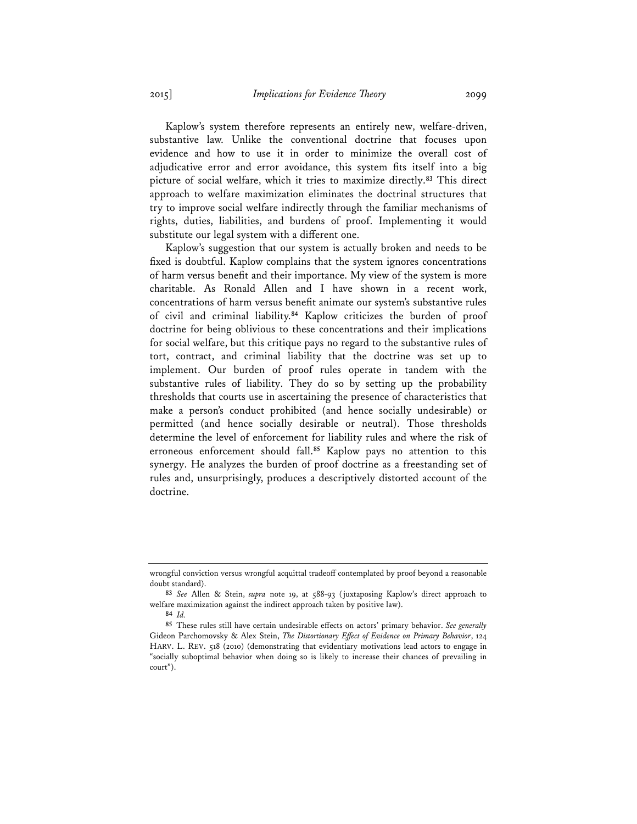Kaplow's system therefore represents an entirely new, welfare-driven, substantive law. Unlike the conventional doctrine that focuses upon evidence and how to use it in order to minimize the overall cost of adjudicative error and error avoidance, this system fits itself into a big picture of social welfare, which it tries to maximize directly.**<sup>83</sup>** This direct approach to welfare maximization eliminates the doctrinal structures that try to improve social welfare indirectly through the familiar mechanisms of rights, duties, liabilities, and burdens of proof. Implementing it would substitute our legal system with a different one.

Kaplow's suggestion that our system is actually broken and needs to be fixed is doubtful. Kaplow complains that the system ignores concentrations of harm versus benefit and their importance. My view of the system is more charitable. As Ronald Allen and I have shown in a recent work, concentrations of harm versus benefit animate our system's substantive rules of civil and criminal liability.**<sup>84</sup>** Kaplow criticizes the burden of proof doctrine for being oblivious to these concentrations and their implications for social welfare, but this critique pays no regard to the substantive rules of tort, contract, and criminal liability that the doctrine was set up to implement. Our burden of proof rules operate in tandem with the substantive rules of liability. They do so by setting up the probability thresholds that courts use in ascertaining the presence of characteristics that make a person's conduct prohibited (and hence socially undesirable) or permitted (and hence socially desirable or neutral). Those thresholds determine the level of enforcement for liability rules and where the risk of erroneous enforcement should fall.**<sup>85</sup>** Kaplow pays no attention to this synergy. He analyzes the burden of proof doctrine as a freestanding set of rules and, unsurprisingly, produces a descriptively distorted account of the doctrine.

wrongful conviction versus wrongful acquittal tradeoff contemplated by proof beyond a reasonable doubt standard).

**<sup>83</sup>** *See* Allen & Stein, *supra* note 19, at 588-93 (juxtaposing Kaplow's direct approach to welfare maximization against the indirect approach taken by positive law).

**<sup>84</sup>** *Id.*

**<sup>85</sup>** These rules still have certain undesirable effects on actors' primary behavior. *See generally* Gideon Parchomovsky & Alex Stein, *The Distortionary Effect of Evidence on Primary Behavior*, 124 HARV. L. REV. 518 (2010) (demonstrating that evidentiary motivations lead actors to engage in "socially suboptimal behavior when doing so is likely to increase their chances of prevailing in court").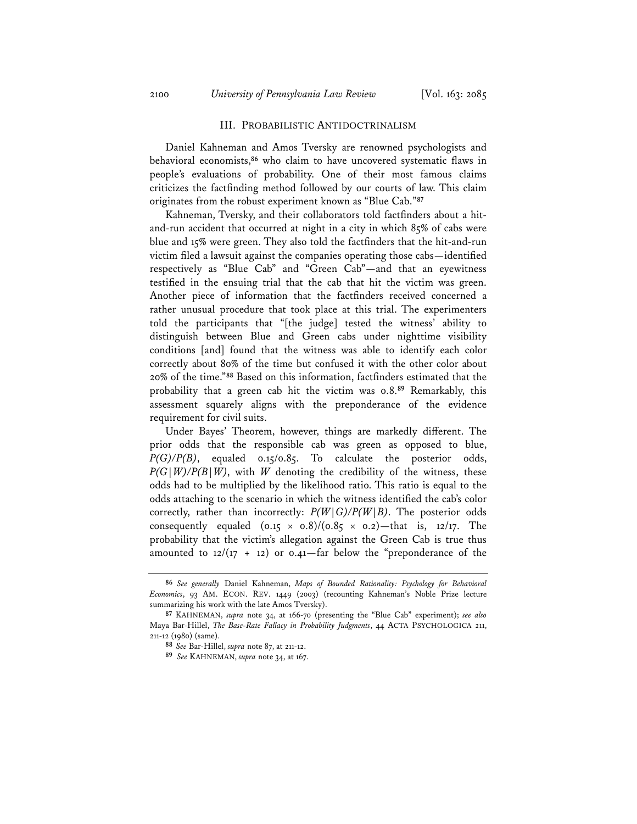#### III. PROBABILISTIC ANTIDOCTRINALISM

Daniel Kahneman and Amos Tversky are renowned psychologists and behavioral economists,**<sup>86</sup>** who claim to have uncovered systematic flaws in people's evaluations of probability. One of their most famous claims criticizes the factfinding method followed by our courts of law. This claim originates from the robust experiment known as "Blue Cab."**<sup>87</sup>**

Kahneman, Tversky, and their collaborators told factfinders about a hitand-run accident that occurred at night in a city in which 85% of cabs were blue and 15% were green. They also told the factfinders that the hit-and-run victim filed a lawsuit against the companies operating those cabs—identified respectively as "Blue Cab" and "Green Cab"—and that an eyewitness testified in the ensuing trial that the cab that hit the victim was green. Another piece of information that the factfinders received concerned a rather unusual procedure that took place at this trial. The experimenters told the participants that "[the judge] tested the witness' ability to distinguish between Blue and Green cabs under nighttime visibility conditions [and] found that the witness was able to identify each color correctly about 80% of the time but confused it with the other color about 20% of the time."**<sup>88</sup>** Based on this information, factfinders estimated that the probability that a green cab hit the victim was 0.8.**<sup>89</sup>** Remarkably, this assessment squarely aligns with the preponderance of the evidence requirement for civil suits.

Under Bayes' Theorem, however, things are markedly different. The prior odds that the responsible cab was green as opposed to blue, *P(G)/P(B)*, equaled 0.15/0.85. To calculate the posterior odds,  $P(G|W)/P(B|W)$ , with *W* denoting the credibility of the witness, these odds had to be multiplied by the likelihood ratio. This ratio is equal to the odds attaching to the scenario in which the witness identified the cab's color correctly, rather than incorrectly: *P(W|G)/P(W|B)*. The posterior odds consequently equaled  $(0.15 \times 0.8)/(0.85 \times 0.2)$ —that is, 12/17. The probability that the victim's allegation against the Green Cab is true thus amounted to  $12/(17 + 12)$  or 0.41-far below the "preponderance of the

**<sup>86</sup>** *See generally* Daniel Kahneman, *Maps of Bounded Rationality: Psychology for Behavioral Economics*, 93 AM. ECON. REV. 1449 (2003) (recounting Kahneman's Noble Prize lecture summarizing his work with the late Amos Tversky).

**<sup>87</sup>**KAHNEMAN, *supra* note 34, at 166-70 (presenting the "Blue Cab" experiment); *see also* Maya Bar-Hillel, *The Base-Rate Fallacy in Probability Judgments*, 44 ACTA PSYCHOLOGICA 211, 211-12 (1980) (same).

**<sup>88</sup>***See* Bar-Hillel, *supra* note 87, at 211-12.

**<sup>89</sup>** *See* KAHNEMAN, *supra* note 34, at 167.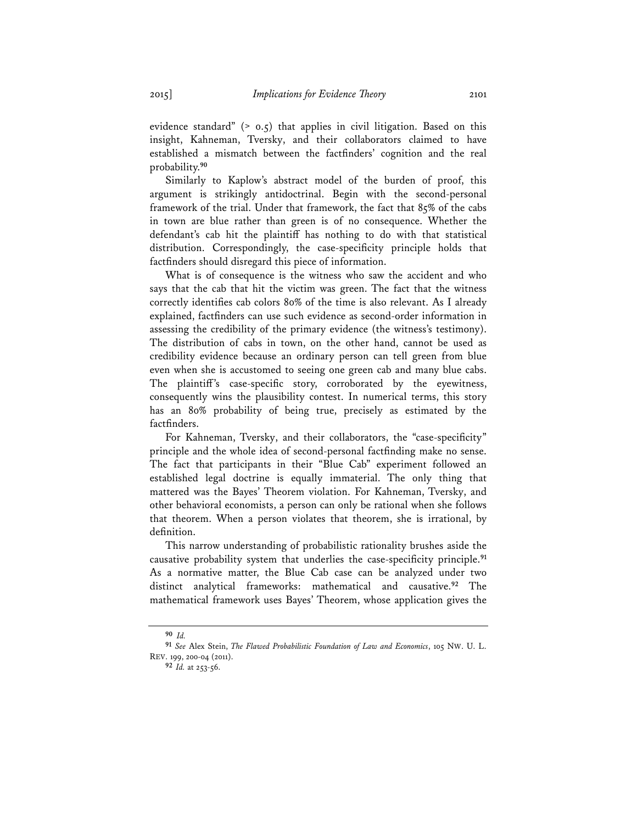evidence standard" (> 0.5) that applies in civil litigation. Based on this insight, Kahneman, Tversky, and their collaborators claimed to have established a mismatch between the factfinders' cognition and the real probability.**<sup>90</sup>**

Similarly to Kaplow's abstract model of the burden of proof, this argument is strikingly antidoctrinal. Begin with the second-personal framework of the trial. Under that framework, the fact that 85% of the cabs in town are blue rather than green is of no consequence. Whether the defendant's cab hit the plaintiff has nothing to do with that statistical distribution. Correspondingly, the case-specificity principle holds that factfinders should disregard this piece of information.

What is of consequence is the witness who saw the accident and who says that the cab that hit the victim was green. The fact that the witness correctly identifies cab colors 80% of the time is also relevant. As I already explained, factfinders can use such evidence as second-order information in assessing the credibility of the primary evidence (the witness's testimony). The distribution of cabs in town, on the other hand, cannot be used as credibility evidence because an ordinary person can tell green from blue even when she is accustomed to seeing one green cab and many blue cabs. The plaintiff's case-specific story, corroborated by the eyewitness, consequently wins the plausibility contest. In numerical terms, this story has an 80% probability of being true, precisely as estimated by the factfinders.

For Kahneman, Tversky, and their collaborators, the "case-specificity" principle and the whole idea of second-personal factfinding make no sense. The fact that participants in their "Blue Cab" experiment followed an established legal doctrine is equally immaterial. The only thing that mattered was the Bayes' Theorem violation. For Kahneman, Tversky, and other behavioral economists, a person can only be rational when she follows that theorem. When a person violates that theorem, she is irrational, by definition.

This narrow understanding of probabilistic rationality brushes aside the causative probability system that underlies the case-specificity principle.**<sup>91</sup>** As a normative matter, the Blue Cab case can be analyzed under two distinct analytical frameworks: mathematical and causative.**<sup>92</sup>** The mathematical framework uses Bayes' Theorem, whose application gives the

**<sup>90</sup>** *Id.*

**<sup>91</sup>***See* Alex Stein, *The Flawed Probabilistic Foundation of Law and Economics*, 105 NW. U. L. REV. 199, 200-04 (2011).

**<sup>92</sup>***Id.* at 253-56.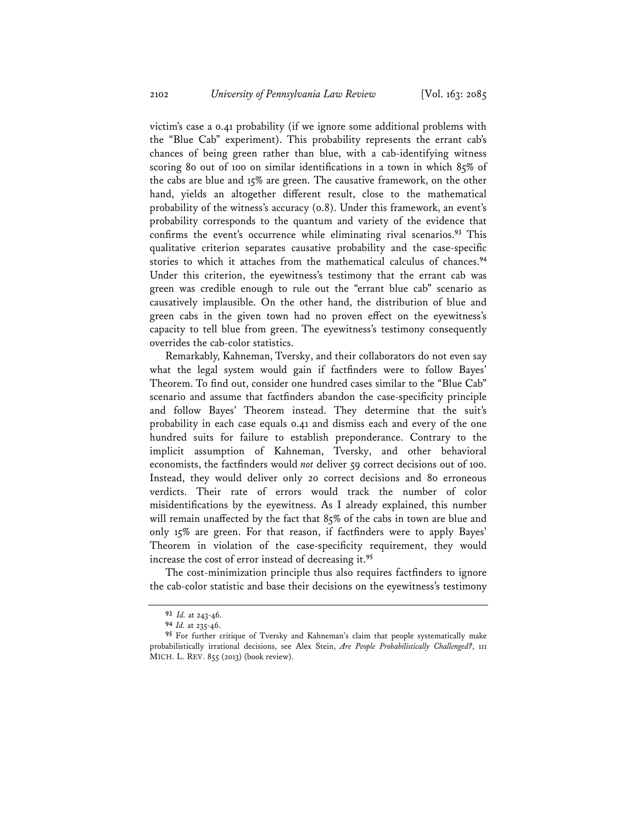victim's case a 0.41 probability (if we ignore some additional problems with the "Blue Cab" experiment). This probability represents the errant cab's chances of being green rather than blue, with a cab-identifying witness scoring 80 out of 100 on similar identifications in a town in which 85% of the cabs are blue and 15% are green. The causative framework, on the other hand, yields an altogether different result, close to the mathematical probability of the witness's accuracy (0.8). Under this framework, an event's probability corresponds to the quantum and variety of the evidence that confirms the event's occurrence while eliminating rival scenarios.**<sup>93</sup>** This qualitative criterion separates causative probability and the case-specific stories to which it attaches from the mathematical calculus of chances.**<sup>94</sup>** Under this criterion, the eyewitness's testimony that the errant cab was green was credible enough to rule out the "errant blue cab" scenario as causatively implausible. On the other hand, the distribution of blue and green cabs in the given town had no proven effect on the eyewitness's capacity to tell blue from green. The eyewitness's testimony consequently overrides the cab-color statistics.

Remarkably, Kahneman, Tversky, and their collaborators do not even say what the legal system would gain if factfinders were to follow Bayes' Theorem. To find out, consider one hundred cases similar to the "Blue Cab" scenario and assume that factfinders abandon the case-specificity principle and follow Bayes' Theorem instead. They determine that the suit's probability in each case equals 0.41 and dismiss each and every of the one hundred suits for failure to establish preponderance. Contrary to the implicit assumption of Kahneman, Tversky, and other behavioral economists, the factfinders would *not* deliver 59 correct decisions out of 100. Instead, they would deliver only 20 correct decisions and 80 erroneous verdicts. Their rate of errors would track the number of color misidentifications by the eyewitness. As I already explained, this number will remain unaffected by the fact that 85% of the cabs in town are blue and only 15% are green. For that reason, if factfinders were to apply Bayes' Theorem in violation of the case-specificity requirement, they would increase the cost of error instead of decreasing it.**<sup>95</sup>**

The cost-minimization principle thus also requires factfinders to ignore the cab-color statistic and base their decisions on the eyewitness's testimony

**<sup>93</sup>** *Id.* at 243-46.

**<sup>94</sup>***Id.* at 235-46.

**<sup>95</sup>**For further critique of Tversky and Kahneman's claim that people systematically make probabilistically irrational decisions, see Alex Stein, *Are People Probabilistically Challenged?*, 111 MICH. L. REV. 855 (2013) (book review).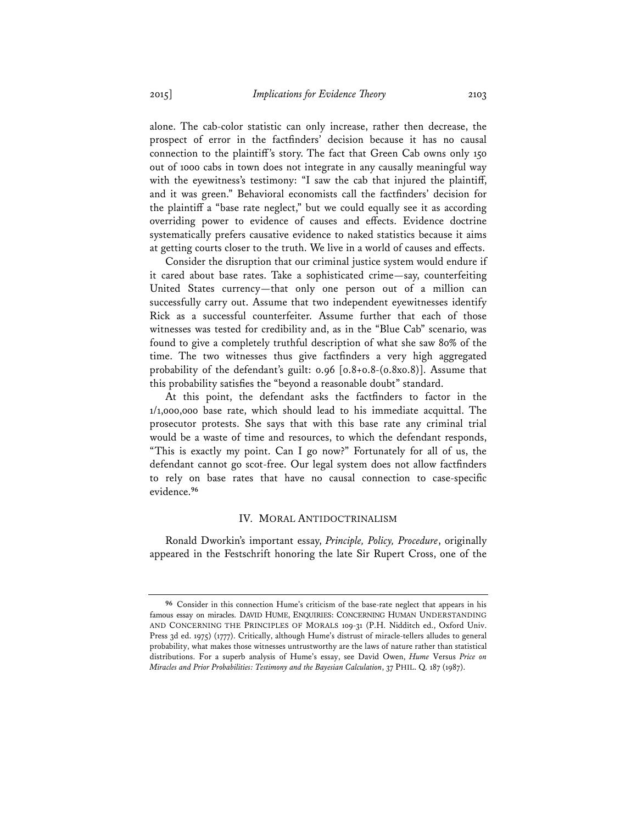alone. The cab-color statistic can only increase, rather then decrease, the prospect of error in the factfinders' decision because it has no causal connection to the plaintiff's story. The fact that Green Cab owns only 150 out of 1000 cabs in town does not integrate in any causally meaningful way with the eyewitness's testimony: "I saw the cab that injured the plaintiff, and it was green." Behavioral economists call the factfinders' decision for the plaintiff a "base rate neglect," but we could equally see it as according overriding power to evidence of causes and effects. Evidence doctrine systematically prefers causative evidence to naked statistics because it aims at getting courts closer to the truth. We live in a world of causes and effects.

Consider the disruption that our criminal justice system would endure if it cared about base rates. Take a sophisticated crime—say, counterfeiting United States currency—that only one person out of a million can successfully carry out. Assume that two independent eyewitnesses identify Rick as a successful counterfeiter. Assume further that each of those witnesses was tested for credibility and, as in the "Blue Cab" scenario, was found to give a completely truthful description of what she saw 80% of the time. The two witnesses thus give factfinders a very high aggregated probability of the defendant's guilt: 0.96 [0.8+0.8-(0.8x0.8)]. Assume that this probability satisfies the "beyond a reasonable doubt" standard.

At this point, the defendant asks the factfinders to factor in the 1/1,000,000 base rate, which should lead to his immediate acquittal. The prosecutor protests. She says that with this base rate any criminal trial would be a waste of time and resources, to which the defendant responds, "This is exactly my point. Can I go now?" Fortunately for all of us, the defendant cannot go scot-free. Our legal system does not allow factfinders to rely on base rates that have no causal connection to case-specific evidence.**<sup>96</sup>**

#### IV. MORAL ANTIDOCTRINALISM

Ronald Dworkin's important essay, *Principle, Policy, Procedure*, originally appeared in the Festschrift honoring the late Sir Rupert Cross, one of the

**<sup>96</sup>** Consider in this connection Hume's criticism of the base-rate neglect that appears in his famous essay on miracles. DAVID HUME, ENQUIRIES: CONCERNING HUMAN UNDERSTANDING AND CONCERNING THE PRINCIPLES OF MORALS 109-31 (P.H. Nidditch ed., Oxford Univ. Press 3d ed. 1975) (1777). Critically, although Hume's distrust of miracle-tellers alludes to general probability, what makes those witnesses untrustworthy are the laws of nature rather than statistical distributions. For a superb analysis of Hume's essay, see David Owen, *Hume* Versus *Price on Miracles and Prior Probabilities: Testimony and the Bayesian Calculation*, 37 PHIL. Q. 187 (1987).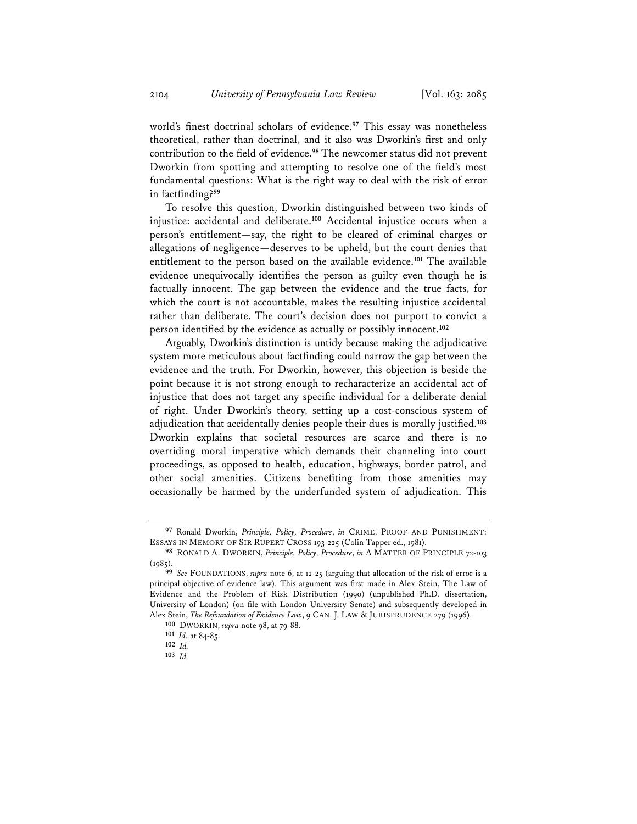world's finest doctrinal scholars of evidence.**<sup>97</sup>** This essay was nonetheless theoretical, rather than doctrinal, and it also was Dworkin's first and only contribution to the field of evidence.**<sup>98</sup>** The newcomer status did not prevent Dworkin from spotting and attempting to resolve one of the field's most fundamental questions: What is the right way to deal with the risk of error in factfinding?**<sup>99</sup>**

To resolve this question, Dworkin distinguished between two kinds of injustice: accidental and deliberate.**<sup>100</sup>** Accidental injustice occurs when a person's entitlement—say, the right to be cleared of criminal charges or allegations of negligence—deserves to be upheld, but the court denies that entitlement to the person based on the available evidence.**<sup>101</sup>** The available evidence unequivocally identifies the person as guilty even though he is factually innocent. The gap between the evidence and the true facts, for which the court is not accountable, makes the resulting injustice accidental rather than deliberate. The court's decision does not purport to convict a person identified by the evidence as actually or possibly innocent.**<sup>102</sup>**

Arguably, Dworkin's distinction is untidy because making the adjudicative system more meticulous about factfinding could narrow the gap between the evidence and the truth. For Dworkin, however, this objection is beside the point because it is not strong enough to recharacterize an accidental act of injustice that does not target any specific individual for a deliberate denial of right. Under Dworkin's theory, setting up a cost-conscious system of adjudication that accidentally denies people their dues is morally justified.**<sup>103</sup>** Dworkin explains that societal resources are scarce and there is no overriding moral imperative which demands their channeling into court proceedings, as opposed to health, education, highways, border patrol, and other social amenities. Citizens benefiting from those amenities may occasionally be harmed by the underfunded system of adjudication. This

**<sup>97</sup>** Ronald Dworkin, *Principle, Policy, Procedure*, *in* CRIME, PROOF AND PUNISHMENT: ESSAYS IN MEMORY OF SIR RUPERT CROSS 193-225 (Colin Tapper ed., 1981).

**<sup>98</sup>** RONALD A. DWORKIN, *Principle, Policy, Procedure*, *in* A MATTER OF PRINCIPLE 72-103  $(1985)$ 

**<sup>99</sup>** *See* FOUNDATIONS, *supra* note 6, at 12-25 (arguing that allocation of the risk of error is a principal objective of evidence law). This argument was first made in Alex Stein, The Law of Evidence and the Problem of Risk Distribution (1990) (unpublished Ph.D. dissertation, University of London) (on file with London University Senate) and subsequently developed in Alex Stein, *The Refoundation of Evidence Law*, 9 CAN. J. LAW & JURISPRUDENCE 279 (1996).

**<sup>100</sup>** DWORKIN, *supra* note 98, at 79-88.

**<sup>101</sup>** *Id.* at 84-85.

**<sup>102</sup>** *Id.*

**<sup>103</sup>** *Id.*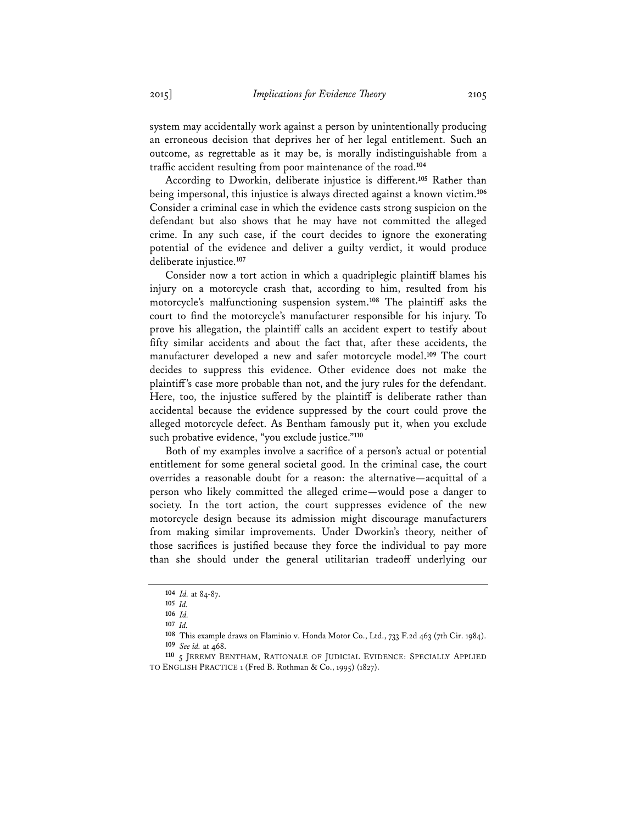system may accidentally work against a person by unintentionally producing an erroneous decision that deprives her of her legal entitlement. Such an outcome, as regrettable as it may be, is morally indistinguishable from a traffic accident resulting from poor maintenance of the road.**<sup>104</sup>**

According to Dworkin, deliberate injustice is different.**<sup>105</sup>** Rather than being impersonal, this injustice is always directed against a known victim.**<sup>106</sup>** Consider a criminal case in which the evidence casts strong suspicion on the defendant but also shows that he may have not committed the alleged crime. In any such case, if the court decides to ignore the exonerating potential of the evidence and deliver a guilty verdict, it would produce deliberate injustice.**<sup>107</sup>**

Consider now a tort action in which a quadriplegic plaintiff blames his injury on a motorcycle crash that, according to him, resulted from his motorcycle's malfunctioning suspension system.**<sup>108</sup>** The plaintiff asks the court to find the motorcycle's manufacturer responsible for his injury. To prove his allegation, the plaintiff calls an accident expert to testify about fifty similar accidents and about the fact that, after these accidents, the manufacturer developed a new and safer motorcycle model.**<sup>109</sup>** The court decides to suppress this evidence. Other evidence does not make the plaintiff's case more probable than not, and the jury rules for the defendant. Here, too, the injustice suffered by the plaintiff is deliberate rather than accidental because the evidence suppressed by the court could prove the alleged motorcycle defect. As Bentham famously put it, when you exclude such probative evidence, "you exclude justice."**<sup>110</sup>**

Both of my examples involve a sacrifice of a person's actual or potential entitlement for some general societal good. In the criminal case, the court overrides a reasonable doubt for a reason: the alternative—acquittal of a person who likely committed the alleged crime—would pose a danger to society. In the tort action, the court suppresses evidence of the new motorcycle design because its admission might discourage manufacturers from making similar improvements. Under Dworkin's theory, neither of those sacrifices is justified because they force the individual to pay more than she should under the general utilitarian tradeoff underlying our

**<sup>104</sup>** *Id.* at 84-87.

**<sup>105</sup>** *Id.*

**<sup>106</sup>** *Id.* **<sup>107</sup>** *Id.*

**<sup>108</sup>** This example draws on Flaminio v. Honda Motor Co., Ltd., 733 F.2d 463 (7th Cir. 1984). **<sup>109</sup>** *See id.* at 468.

**<sup>110</sup>** 5 JEREMY BENTHAM, RATIONALE OF JUDICIAL EVIDENCE: SPECIALLY APPLIED TO ENGLISH PRACTICE 1 (Fred B. Rothman & Co., 1995) (1827).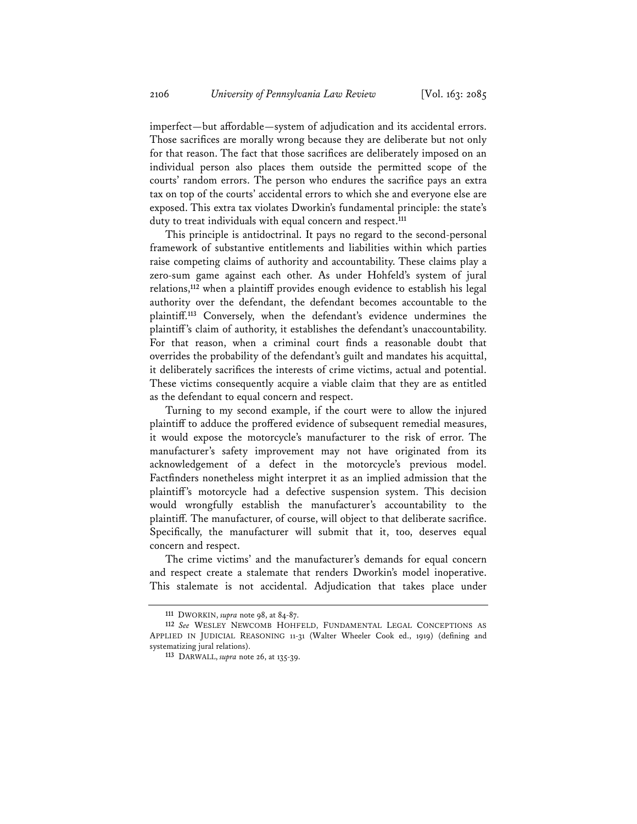imperfect—but affordable—system of adjudication and its accidental errors. Those sacrifices are morally wrong because they are deliberate but not only for that reason. The fact that those sacrifices are deliberately imposed on an individual person also places them outside the permitted scope of the courts' random errors. The person who endures the sacrifice pays an extra tax on top of the courts' accidental errors to which she and everyone else are exposed. This extra tax violates Dworkin's fundamental principle: the state's duty to treat individuals with equal concern and respect.**<sup>111</sup>**

This principle is antidoctrinal. It pays no regard to the second-personal framework of substantive entitlements and liabilities within which parties raise competing claims of authority and accountability. These claims play a zero-sum game against each other. As under Hohfeld's system of jural relations,**<sup>112</sup>** when a plaintiff provides enough evidence to establish his legal authority over the defendant, the defendant becomes accountable to the plaintiff.**<sup>113</sup>** Conversely, when the defendant's evidence undermines the plaintiff's claim of authority, it establishes the defendant's unaccountability. For that reason, when a criminal court finds a reasonable doubt that overrides the probability of the defendant's guilt and mandates his acquittal, it deliberately sacrifices the interests of crime victims, actual and potential. These victims consequently acquire a viable claim that they are as entitled as the defendant to equal concern and respect.

Turning to my second example, if the court were to allow the injured plaintiff to adduce the proffered evidence of subsequent remedial measures, it would expose the motorcycle's manufacturer to the risk of error. The manufacturer's safety improvement may not have originated from its acknowledgement of a defect in the motorcycle's previous model. Factfinders nonetheless might interpret it as an implied admission that the plaintiff's motorcycle had a defective suspension system. This decision would wrongfully establish the manufacturer's accountability to the plaintiff. The manufacturer, of course, will object to that deliberate sacrifice. Specifically, the manufacturer will submit that it, too, deserves equal concern and respect.

The crime victims' and the manufacturer's demands for equal concern and respect create a stalemate that renders Dworkin's model inoperative. This stalemate is not accidental. Adjudication that takes place under

**<sup>111</sup>** DWORKIN, *supra* note 98, at 84-87.

**<sup>112</sup>** *See* WESLEY NEWCOMB HOHFELD, FUNDAMENTAL LEGAL CONCEPTIONS AS APPLIED IN JUDICIAL REASONING 11-31 (Walter Wheeler Cook ed., 1919) (defining and systematizing jural relations).

**<sup>113</sup>** DARWALL, *supra* note 26, at 135-39.